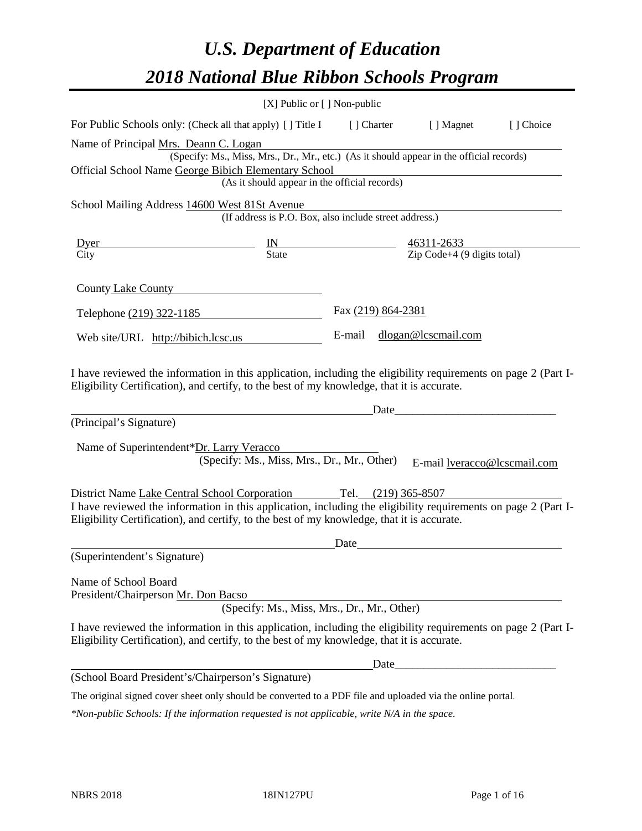# *U.S. Department of Education 2018 National Blue Ribbon Schools Program*

|                                                                                                                                                                                                                                                                                     | [X] Public or [] Non-public                                                                                                               |                    |       |                                                   |           |
|-------------------------------------------------------------------------------------------------------------------------------------------------------------------------------------------------------------------------------------------------------------------------------------|-------------------------------------------------------------------------------------------------------------------------------------------|--------------------|-------|---------------------------------------------------|-----------|
| For Public Schools only: (Check all that apply) [ ] Title I [ ] Charter [ ] Magnet                                                                                                                                                                                                  |                                                                                                                                           |                    |       |                                                   | [] Choice |
| Name of Principal Mrs. Deann C. Logan<br>Official School Name George Bibich Elementary School                                                                                                                                                                                       | (Specify: Ms., Miss, Mrs., Dr., Mr., etc.) (As it should appear in the official records)<br>(As it should appear in the official records) |                    |       | <u> 1980 - Johann Barbara, martxa alemaniar a</u> |           |
| School Mailing Address 14600 West 81St Avenue                                                                                                                                                                                                                                       | (If address is P.O. Box, also include street address.)                                                                                    |                    |       |                                                   |           |
| $\frac{IN}{State}$ $\frac{46311-2633}{Zip Code+4 (9 digits total)}$<br><u>Dyer</u><br>$\overline{City}$                                                                                                                                                                             |                                                                                                                                           |                    |       |                                                   |           |
| County Lake County County                                                                                                                                                                                                                                                           |                                                                                                                                           |                    |       |                                                   |           |
| Telephone (219) 322-1185                                                                                                                                                                                                                                                            |                                                                                                                                           | Fax (219) 864-2381 |       |                                                   |           |
| Web site/URL http://bibich.lcsc.us                                                                                                                                                                                                                                                  |                                                                                                                                           |                    |       | E-mail dlogan@lcscmail.com                        |           |
| I have reviewed the information in this application, including the eligibility requirements on page 2 (Part I-<br>Eligibility Certification), and certify, to the best of my knowledge, that it is accurate.<br>(Principal's Signature)<br>Name of Superintendent*Dr. Larry Veracco | (Specify: Ms., Miss, Mrs., Dr., Mr., Other)                                                                                               |                    |       | Date<br>E-mail lveracco@lcscmail.com              |           |
| District Name Lake Central School Corporation Tel. (219) 365-8507<br>I have reviewed the information in this application, including the eligibility requirements on page 2 (Part I-<br>Eligibility Certification), and certify, to the best of my knowledge, that it is accurate.   |                                                                                                                                           | Date               |       |                                                   |           |
| (Superintendent's Signature)                                                                                                                                                                                                                                                        |                                                                                                                                           |                    |       |                                                   |           |
| Name of School Board<br>President/Chairperson Mr. Don Bacso                                                                                                                                                                                                                         | (Specify: Ms., Miss, Mrs., Dr., Mr., Other)                                                                                               |                    |       |                                                   |           |
| I have reviewed the information in this application, including the eligibility requirements on page 2 (Part I-<br>Eligibility Certification), and certify, to the best of my knowledge, that it is accurate.                                                                        |                                                                                                                                           |                    |       |                                                   |           |
|                                                                                                                                                                                                                                                                                     |                                                                                                                                           |                    | Date_ |                                                   |           |
| (School Board President's/Chairperson's Signature)                                                                                                                                                                                                                                  |                                                                                                                                           |                    |       |                                                   |           |
| The original signed cover sheet only should be converted to a PDF file and uploaded via the online portal.                                                                                                                                                                          |                                                                                                                                           |                    |       |                                                   |           |

*\*Non-public Schools: If the information requested is not applicable, write N/A in the space.*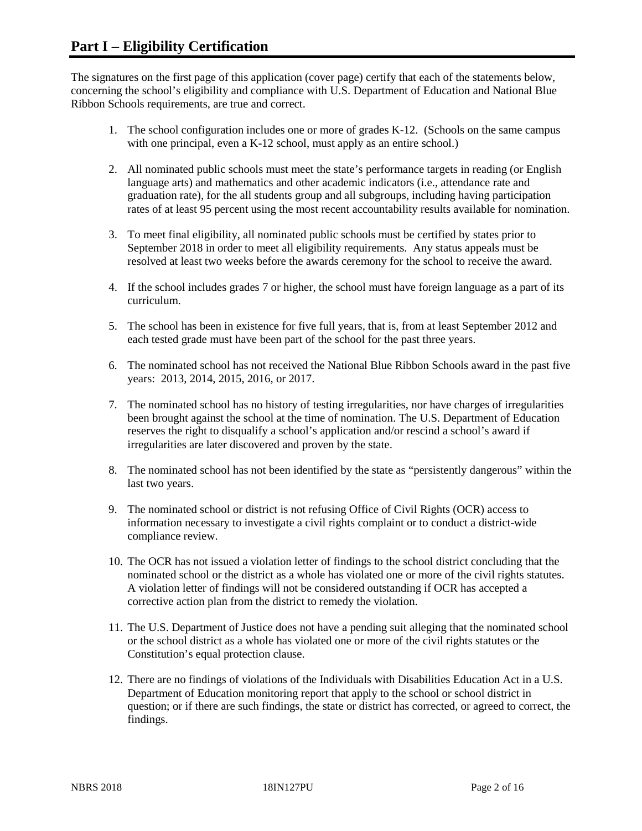The signatures on the first page of this application (cover page) certify that each of the statements below, concerning the school's eligibility and compliance with U.S. Department of Education and National Blue Ribbon Schools requirements, are true and correct.

- 1. The school configuration includes one or more of grades K-12. (Schools on the same campus with one principal, even a K-12 school, must apply as an entire school.)
- 2. All nominated public schools must meet the state's performance targets in reading (or English language arts) and mathematics and other academic indicators (i.e., attendance rate and graduation rate), for the all students group and all subgroups, including having participation rates of at least 95 percent using the most recent accountability results available for nomination.
- 3. To meet final eligibility, all nominated public schools must be certified by states prior to September 2018 in order to meet all eligibility requirements. Any status appeals must be resolved at least two weeks before the awards ceremony for the school to receive the award.
- 4. If the school includes grades 7 or higher, the school must have foreign language as a part of its curriculum.
- 5. The school has been in existence for five full years, that is, from at least September 2012 and each tested grade must have been part of the school for the past three years.
- 6. The nominated school has not received the National Blue Ribbon Schools award in the past five years: 2013, 2014, 2015, 2016, or 2017.
- 7. The nominated school has no history of testing irregularities, nor have charges of irregularities been brought against the school at the time of nomination. The U.S. Department of Education reserves the right to disqualify a school's application and/or rescind a school's award if irregularities are later discovered and proven by the state.
- 8. The nominated school has not been identified by the state as "persistently dangerous" within the last two years.
- 9. The nominated school or district is not refusing Office of Civil Rights (OCR) access to information necessary to investigate a civil rights complaint or to conduct a district-wide compliance review.
- 10. The OCR has not issued a violation letter of findings to the school district concluding that the nominated school or the district as a whole has violated one or more of the civil rights statutes. A violation letter of findings will not be considered outstanding if OCR has accepted a corrective action plan from the district to remedy the violation.
- 11. The U.S. Department of Justice does not have a pending suit alleging that the nominated school or the school district as a whole has violated one or more of the civil rights statutes or the Constitution's equal protection clause.
- 12. There are no findings of violations of the Individuals with Disabilities Education Act in a U.S. Department of Education monitoring report that apply to the school or school district in question; or if there are such findings, the state or district has corrected, or agreed to correct, the findings.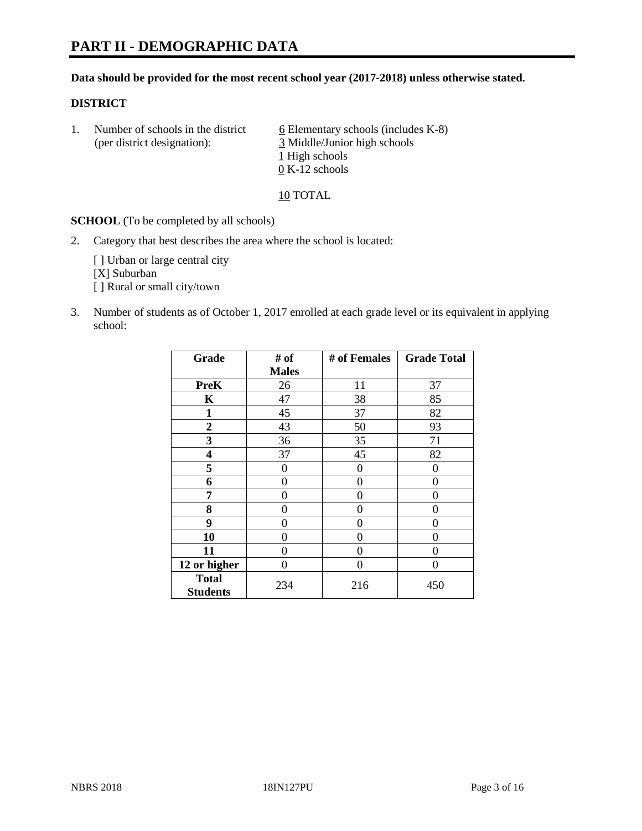#### **Data should be provided for the most recent school year (2017-2018) unless otherwise stated.**

#### **DISTRICT**

1. Number of schools in the district  $6$  Elementary schools (includes K-8) (per district designation): 3 Middle/Junior high schools 1 High schools 0 K-12 schools

10 TOTAL

**SCHOOL** (To be completed by all schools)

2. Category that best describes the area where the school is located:

[] Urban or large central city [X] Suburban [] Rural or small city/town

3. Number of students as of October 1, 2017 enrolled at each grade level or its equivalent in applying school:

| Grade                           | # of         | # of Females     | <b>Grade Total</b> |
|---------------------------------|--------------|------------------|--------------------|
|                                 | <b>Males</b> |                  |                    |
| <b>PreK</b>                     | 26           | 11               | 37                 |
| K                               | 47           | 38               | 85                 |
| $\mathbf{1}$                    | 45           | 37               | 82                 |
| 2                               | 43           | 50               | 93                 |
| 3                               | 36           | 35               | 71                 |
| 4                               | 37           | 45               | 82                 |
| 5                               | 0            | $\boldsymbol{0}$ | 0                  |
| 6                               | 0            | 0                | 0                  |
| 7                               | 0            | 0                | 0                  |
| 8                               | 0            | 0                | 0                  |
| 9                               | 0            | 0                | 0                  |
| 10                              | 0            | 0                | 0                  |
| 11                              | 0            | 0                | 0                  |
| 12 or higher                    | 0            | 0                | 0                  |
| <b>Total</b><br><b>Students</b> | 234          | 216              | 450                |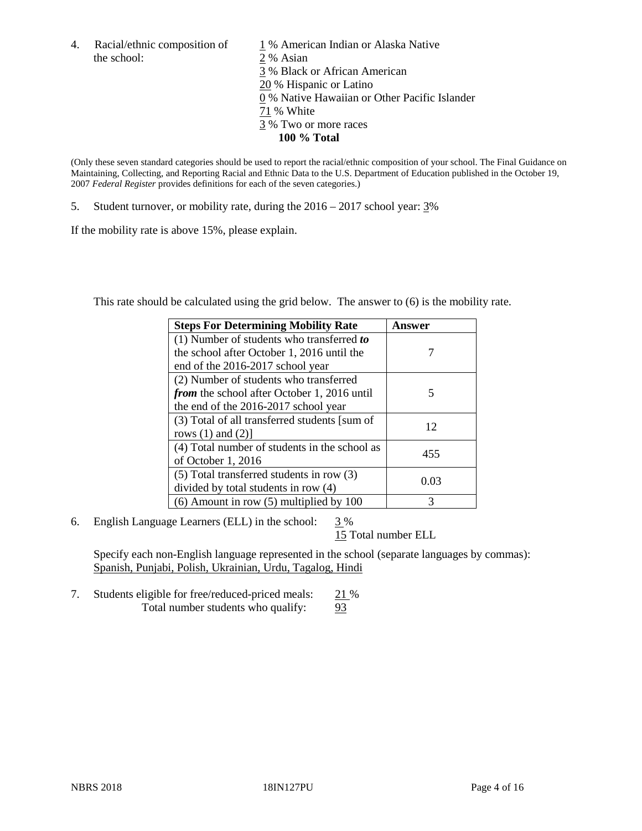the school: 2 % Asian

4. Racial/ethnic composition of  $1\%$  American Indian or Alaska Native 3 % Black or African American 20 % Hispanic or Latino 0 % Native Hawaiian or Other Pacific Islander 71 % White 3 % Two or more races **100 % Total**

(Only these seven standard categories should be used to report the racial/ethnic composition of your school. The Final Guidance on Maintaining, Collecting, and Reporting Racial and Ethnic Data to the U.S. Department of Education published in the October 19, 2007 *Federal Register* provides definitions for each of the seven categories.)

5. Student turnover, or mobility rate, during the 2016 – 2017 school year: 3%

If the mobility rate is above 15%, please explain.

This rate should be calculated using the grid below. The answer to (6) is the mobility rate.

| <b>Steps For Determining Mobility Rate</b>         | Answer |
|----------------------------------------------------|--------|
| $(1)$ Number of students who transferred to        |        |
| the school after October 1, 2016 until the         |        |
| end of the 2016-2017 school year                   |        |
| (2) Number of students who transferred             |        |
| <i>from</i> the school after October 1, 2016 until | 5      |
| the end of the 2016-2017 school year               |        |
| (3) Total of all transferred students [sum of      | 12     |
| rows $(1)$ and $(2)$ ]                             |        |
| (4) Total number of students in the school as      |        |
| of October 1, 2016                                 | 455    |
| (5) Total transferred students in row (3)          |        |
| divided by total students in row (4)               | 0.03   |
| $(6)$ Amount in row $(5)$ multiplied by 100        | 3      |

6. English Language Learners (ELL) in the school:  $3\%$ 

15 Total number ELL

Specify each non-English language represented in the school (separate languages by commas): Spanish, Punjabi, Polish, Ukrainian, Urdu, Tagalog, Hindi

7. Students eligible for free/reduced-priced meals: 21 % Total number students who qualify: 93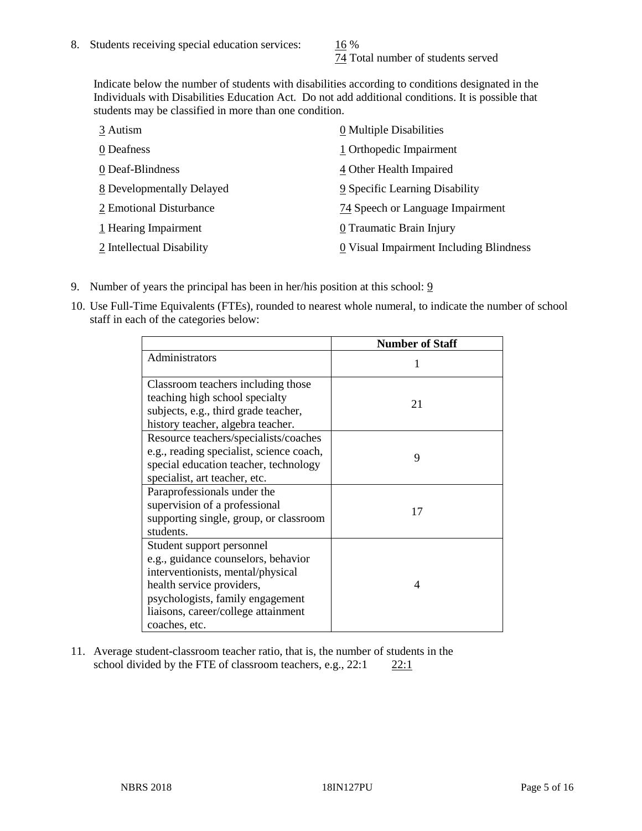74 Total number of students served

Indicate below the number of students with disabilities according to conditions designated in the Individuals with Disabilities Education Act. Do not add additional conditions. It is possible that students may be classified in more than one condition.

| 3 Autism                  | 0 Multiple Disabilities                 |
|---------------------------|-----------------------------------------|
| 0 Deafness                | 1 Orthopedic Impairment                 |
| 0 Deaf-Blindness          | 4 Other Health Impaired                 |
| 8 Developmentally Delayed | 9 Specific Learning Disability          |
| 2 Emotional Disturbance   | 74 Speech or Language Impairment        |
| 1 Hearing Impairment      | 0 Traumatic Brain Injury                |
| 2 Intellectual Disability | 0 Visual Impairment Including Blindness |

- 9. Number of years the principal has been in her/his position at this school:  $9$
- 10. Use Full-Time Equivalents (FTEs), rounded to nearest whole numeral, to indicate the number of school staff in each of the categories below:

|                                                                                                                                                                                                                                | <b>Number of Staff</b> |
|--------------------------------------------------------------------------------------------------------------------------------------------------------------------------------------------------------------------------------|------------------------|
| Administrators                                                                                                                                                                                                                 |                        |
| Classroom teachers including those<br>teaching high school specialty<br>subjects, e.g., third grade teacher,<br>history teacher, algebra teacher.                                                                              | 21                     |
| Resource teachers/specialists/coaches<br>e.g., reading specialist, science coach,<br>special education teacher, technology<br>specialist, art teacher, etc.                                                                    | 9                      |
| Paraprofessionals under the<br>supervision of a professional<br>supporting single, group, or classroom<br>students.                                                                                                            | 17                     |
| Student support personnel<br>e.g., guidance counselors, behavior<br>interventionists, mental/physical<br>health service providers,<br>psychologists, family engagement<br>liaisons, career/college attainment<br>coaches, etc. | 4                      |

11. Average student-classroom teacher ratio, that is, the number of students in the school divided by the FTE of classroom teachers, e.g.,  $22:1$  22:1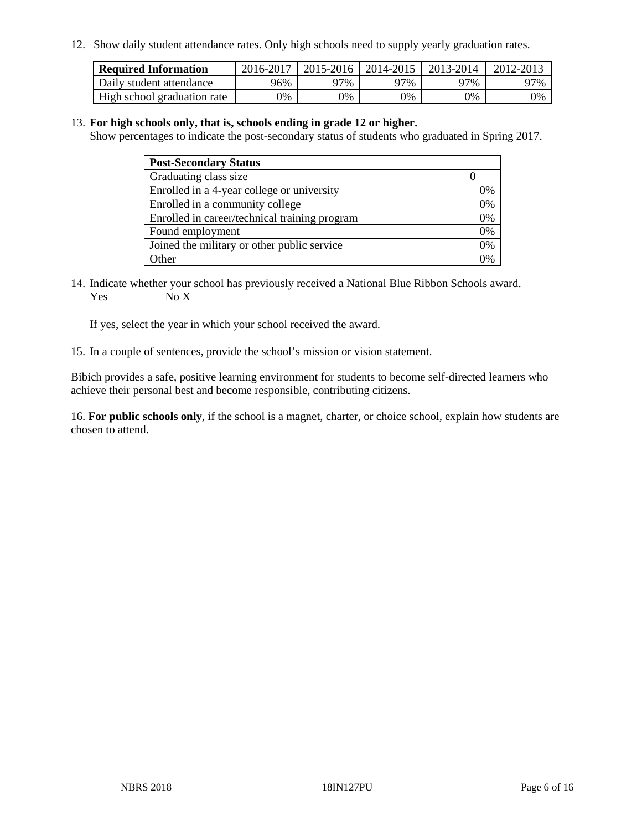12. Show daily student attendance rates. Only high schools need to supply yearly graduation rates.

| <b>Required Information</b> | 2016-2017 | $2015 - 2016$ | 2014-2015 | 2013-2014 | 2012-2013 |
|-----------------------------|-----------|---------------|-----------|-----------|-----------|
| Daily student attendance    | 96%       | 97%           | 97%       | ว7%       | 97%       |
| High school graduation rate | 0%        | 0%            | 0%        | 9%        | 0%        |

#### 13. **For high schools only, that is, schools ending in grade 12 or higher.**

Show percentages to indicate the post-secondary status of students who graduated in Spring 2017.

| <b>Post-Secondary Status</b>                  |    |
|-----------------------------------------------|----|
| Graduating class size                         |    |
| Enrolled in a 4-year college or university    | 0% |
| Enrolled in a community college               | 0% |
| Enrolled in career/technical training program | 0% |
| Found employment                              | 0% |
| Joined the military or other public service   | 0% |
| Other                                         | ገ% |

14. Indicate whether your school has previously received a National Blue Ribbon Schools award. Yes No X

If yes, select the year in which your school received the award.

15. In a couple of sentences, provide the school's mission or vision statement.

Bibich provides a safe, positive learning environment for students to become self-directed learners who achieve their personal best and become responsible, contributing citizens.

16. **For public schools only**, if the school is a magnet, charter, or choice school, explain how students are chosen to attend.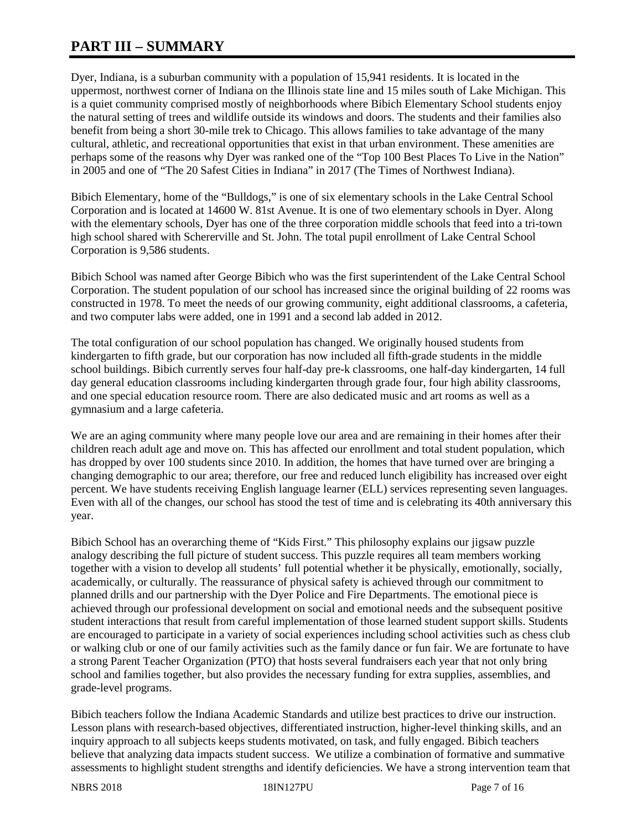# **PART III – SUMMARY**

Dyer, Indiana, is a suburban community with a population of 15,941 residents. It is located in the uppermost, northwest corner of Indiana on the Illinois state line and 15 miles south of Lake Michigan. This is a quiet community comprised mostly of neighborhoods where Bibich Elementary School students enjoy the natural setting of trees and wildlife outside its windows and doors. The students and their families also benefit from being a short 30-mile trek to Chicago. This allows families to take advantage of the many cultural, athletic, and recreational opportunities that exist in that urban environment. These amenities are perhaps some of the reasons why Dyer was ranked one of the "Top 100 Best Places To Live in the Nation" in 2005 and one of "The 20 Safest Cities in Indiana" in 2017 (The Times of Northwest Indiana).

Bibich Elementary, home of the "Bulldogs," is one of six elementary schools in the Lake Central School Corporation and is located at 14600 W. 81st Avenue. It is one of two elementary schools in Dyer. Along with the elementary schools, Dyer has one of the three corporation middle schools that feed into a tri-town high school shared with Schererville and St. John. The total pupil enrollment of Lake Central School Corporation is 9,586 students.

Bibich School was named after George Bibich who was the first superintendent of the Lake Central School Corporation. The student population of our school has increased since the original building of 22 rooms was constructed in 1978. To meet the needs of our growing community, eight additional classrooms, a cafeteria, and two computer labs were added, one in 1991 and a second lab added in 2012.

The total configuration of our school population has changed. We originally housed students from kindergarten to fifth grade, but our corporation has now included all fifth-grade students in the middle school buildings. Bibich currently serves four half-day pre-k classrooms, one half-day kindergarten, 14 full day general education classrooms including kindergarten through grade four, four high ability classrooms, and one special education resource room. There are also dedicated music and art rooms as well as a gymnasium and a large cafeteria.

We are an aging community where many people love our area and are remaining in their homes after their children reach adult age and move on. This has affected our enrollment and total student population, which has dropped by over 100 students since 2010. In addition, the homes that have turned over are bringing a changing demographic to our area; therefore, our free and reduced lunch eligibility has increased over eight percent. We have students receiving English language learner (ELL) services representing seven languages. Even with all of the changes, our school has stood the test of time and is celebrating its 40th anniversary this year.

Bibich School has an overarching theme of "Kids First." This philosophy explains our jigsaw puzzle analogy describing the full picture of student success. This puzzle requires all team members working together with a vision to develop all students' full potential whether it be physically, emotionally, socially, academically, or culturally. The reassurance of physical safety is achieved through our commitment to planned drills and our partnership with the Dyer Police and Fire Departments. The emotional piece is achieved through our professional development on social and emotional needs and the subsequent positive student interactions that result from careful implementation of those learned student support skills. Students are encouraged to participate in a variety of social experiences including school activities such as chess club or walking club or one of our family activities such as the family dance or fun fair. We are fortunate to have a strong Parent Teacher Organization (PTO) that hosts several fundraisers each year that not only bring school and families together, but also provides the necessary funding for extra supplies, assemblies, and grade-level programs.

Bibich teachers follow the Indiana Academic Standards and utilize best practices to drive our instruction. Lesson plans with research-based objectives, differentiated instruction, higher-level thinking skills, and an inquiry approach to all subjects keeps students motivated, on task, and fully engaged. Bibich teachers believe that analyzing data impacts student success. We utilize a combination of formative and summative assessments to highlight student strengths and identify deficiencies. We have a strong intervention team that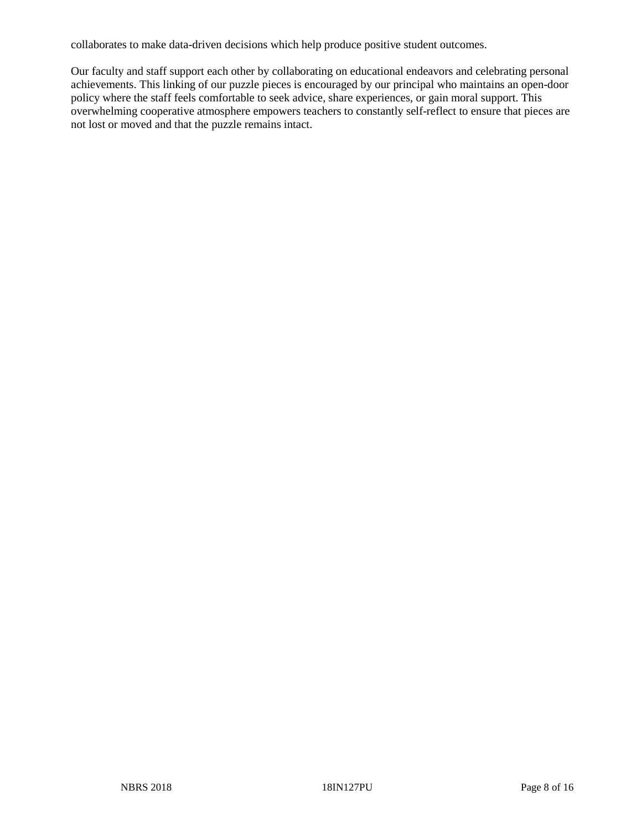collaborates to make data-driven decisions which help produce positive student outcomes.

Our faculty and staff support each other by collaborating on educational endeavors and celebrating personal achievements. This linking of our puzzle pieces is encouraged by our principal who maintains an open-door policy where the staff feels comfortable to seek advice, share experiences, or gain moral support. This overwhelming cooperative atmosphere empowers teachers to constantly self-reflect to ensure that pieces are not lost or moved and that the puzzle remains intact.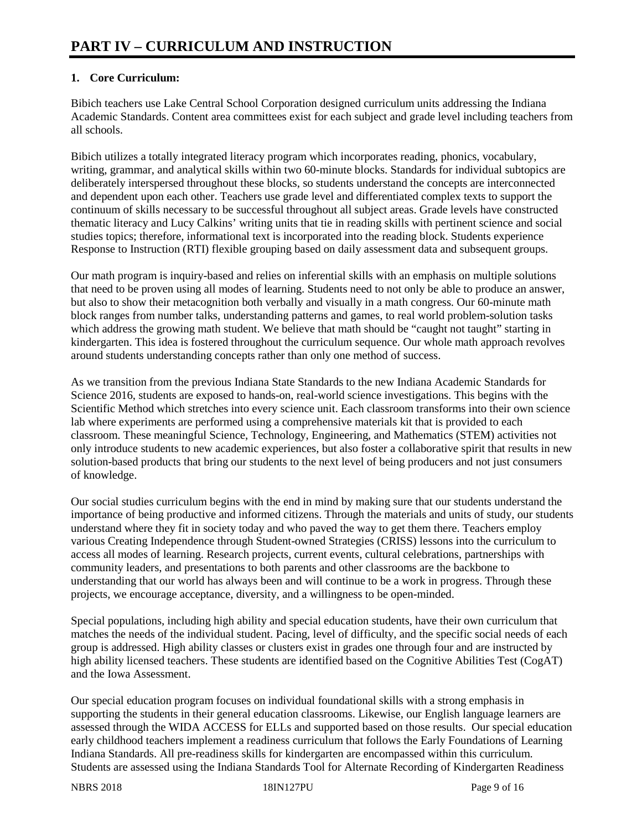# **1. Core Curriculum:**

Bibich teachers use Lake Central School Corporation designed curriculum units addressing the Indiana Academic Standards. Content area committees exist for each subject and grade level including teachers from all schools.

Bibich utilizes a totally integrated literacy program which incorporates reading, phonics, vocabulary, writing, grammar, and analytical skills within two 60-minute blocks. Standards for individual subtopics are deliberately interspersed throughout these blocks, so students understand the concepts are interconnected and dependent upon each other. Teachers use grade level and differentiated complex texts to support the continuum of skills necessary to be successful throughout all subject areas. Grade levels have constructed thematic literacy and Lucy Calkins' writing units that tie in reading skills with pertinent science and social studies topics; therefore, informational text is incorporated into the reading block. Students experience Response to Instruction (RTI) flexible grouping based on daily assessment data and subsequent groups.

Our math program is inquiry-based and relies on inferential skills with an emphasis on multiple solutions that need to be proven using all modes of learning. Students need to not only be able to produce an answer, but also to show their metacognition both verbally and visually in a math congress. Our 60-minute math block ranges from number talks, understanding patterns and games, to real world problem-solution tasks which address the growing math student. We believe that math should be "caught not taught" starting in kindergarten. This idea is fostered throughout the curriculum sequence. Our whole math approach revolves around students understanding concepts rather than only one method of success.

As we transition from the previous Indiana State Standards to the new Indiana Academic Standards for Science 2016, students are exposed to hands-on, real-world science investigations. This begins with the Scientific Method which stretches into every science unit. Each classroom transforms into their own science lab where experiments are performed using a comprehensive materials kit that is provided to each classroom. These meaningful Science, Technology, Engineering, and Mathematics (STEM) activities not only introduce students to new academic experiences, but also foster a collaborative spirit that results in new solution-based products that bring our students to the next level of being producers and not just consumers of knowledge.

Our social studies curriculum begins with the end in mind by making sure that our students understand the importance of being productive and informed citizens. Through the materials and units of study, our students understand where they fit in society today and who paved the way to get them there. Teachers employ various Creating Independence through Student-owned Strategies (CRISS) lessons into the curriculum to access all modes of learning. Research projects, current events, cultural celebrations, partnerships with community leaders, and presentations to both parents and other classrooms are the backbone to understanding that our world has always been and will continue to be a work in progress. Through these projects, we encourage acceptance, diversity, and a willingness to be open-minded.

Special populations, including high ability and special education students, have their own curriculum that matches the needs of the individual student. Pacing, level of difficulty, and the specific social needs of each group is addressed. High ability classes or clusters exist in grades one through four and are instructed by high ability licensed teachers. These students are identified based on the Cognitive Abilities Test (CogAT) and the Iowa Assessment.

Our special education program focuses on individual foundational skills with a strong emphasis in supporting the students in their general education classrooms. Likewise, our English language learners are assessed through the WIDA ACCESS for ELLs and supported based on those results. Our special education early childhood teachers implement a readiness curriculum that follows the Early Foundations of Learning Indiana Standards. All pre-readiness skills for kindergarten are encompassed within this curriculum. Students are assessed using the Indiana Standards Tool for Alternate Recording of Kindergarten Readiness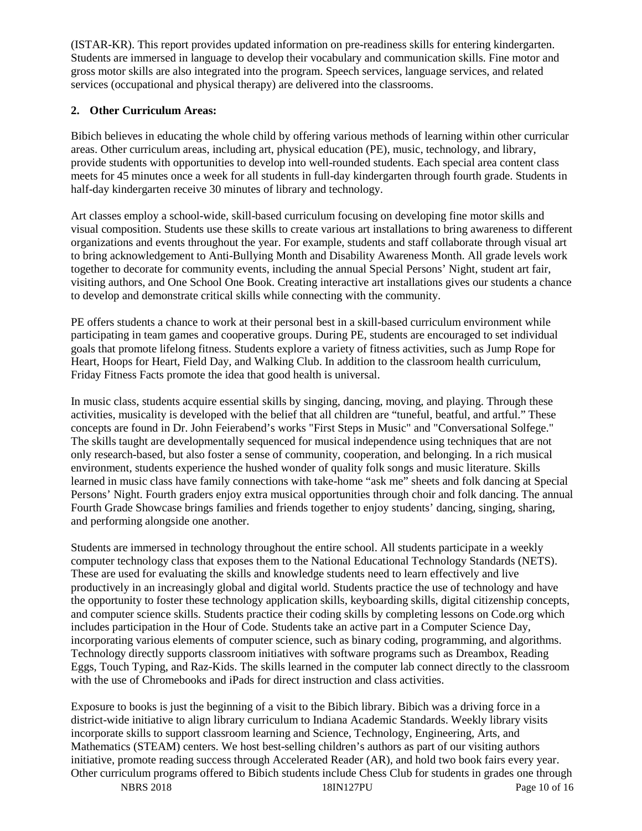(ISTAR-KR). This report provides updated information on pre-readiness skills for entering kindergarten. Students are immersed in language to develop their vocabulary and communication skills. Fine motor and gross motor skills are also integrated into the program. Speech services, language services, and related services (occupational and physical therapy) are delivered into the classrooms.

## **2. Other Curriculum Areas:**

Bibich believes in educating the whole child by offering various methods of learning within other curricular areas. Other curriculum areas, including art, physical education (PE), music, technology, and library, provide students with opportunities to develop into well-rounded students. Each special area content class meets for 45 minutes once a week for all students in full-day kindergarten through fourth grade. Students in half-day kindergarten receive 30 minutes of library and technology.

Art classes employ a school-wide, skill-based curriculum focusing on developing fine motor skills and visual composition. Students use these skills to create various art installations to bring awareness to different organizations and events throughout the year. For example, students and staff collaborate through visual art to bring acknowledgement to Anti-Bullying Month and Disability Awareness Month. All grade levels work together to decorate for community events, including the annual Special Persons' Night, student art fair, visiting authors, and One School One Book. Creating interactive art installations gives our students a chance to develop and demonstrate critical skills while connecting with the community.

PE offers students a chance to work at their personal best in a skill-based curriculum environment while participating in team games and cooperative groups. During PE, students are encouraged to set individual goals that promote lifelong fitness. Students explore a variety of fitness activities, such as Jump Rope for Heart, Hoops for Heart, Field Day, and Walking Club. In addition to the classroom health curriculum, Friday Fitness Facts promote the idea that good health is universal.

In music class, students acquire essential skills by singing, dancing, moving, and playing. Through these activities, musicality is developed with the belief that all children are "tuneful, beatful, and artful." These concepts are found in Dr. John Feierabend's works "First Steps in Music" and "Conversational Solfege." The skills taught are developmentally sequenced for musical independence using techniques that are not only research-based, but also foster a sense of community, cooperation, and belonging. In a rich musical environment, students experience the hushed wonder of quality folk songs and music literature. Skills learned in music class have family connections with take-home "ask me" sheets and folk dancing at Special Persons' Night. Fourth graders enjoy extra musical opportunities through choir and folk dancing. The annual Fourth Grade Showcase brings families and friends together to enjoy students' dancing, singing, sharing, and performing alongside one another.

Students are immersed in technology throughout the entire school. All students participate in a weekly computer technology class that exposes them to the National Educational Technology Standards (NETS). These are used for evaluating the skills and knowledge students need to learn effectively and live productively in an increasingly global and digital world. Students practice the use of technology and have the opportunity to foster these technology application skills, keyboarding skills, digital citizenship concepts, and computer science skills. Students practice their coding skills by completing lessons on Code.org which includes participation in the Hour of Code. Students take an active part in a Computer Science Day, incorporating various elements of computer science, such as binary coding, programming, and algorithms. Technology directly supports classroom initiatives with software programs such as Dreambox, Reading Eggs, Touch Typing, and Raz-Kids. The skills learned in the computer lab connect directly to the classroom with the use of Chromebooks and iPads for direct instruction and class activities.

Exposure to books is just the beginning of a visit to the Bibich library. Bibich was a driving force in a district-wide initiative to align library curriculum to Indiana Academic Standards. Weekly library visits incorporate skills to support classroom learning and Science, Technology, Engineering, Arts, and Mathematics (STEAM) centers. We host best-selling children's authors as part of our visiting authors initiative, promote reading success through Accelerated Reader (AR), and hold two book fairs every year. Other curriculum programs offered to Bibich students include Chess Club for students in grades one through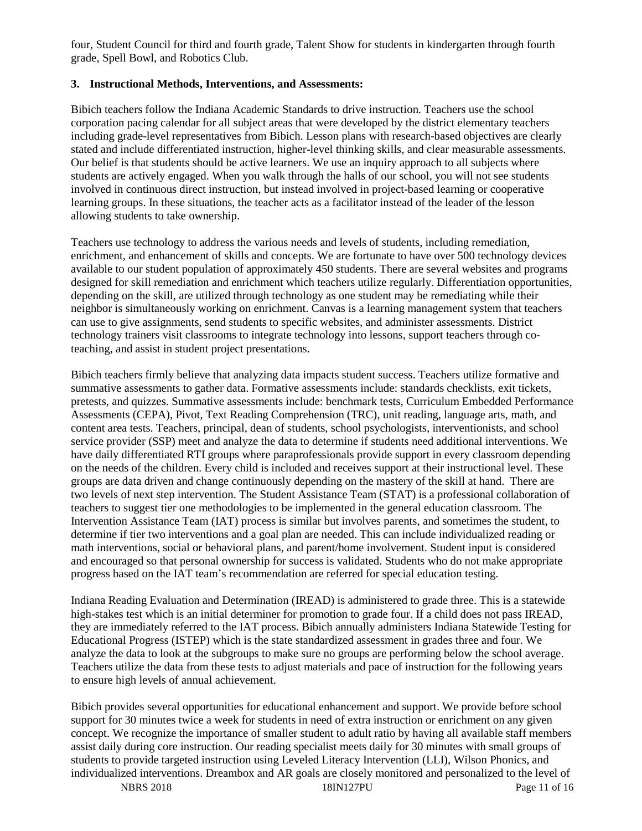four, Student Council for third and fourth grade, Talent Show for students in kindergarten through fourth grade, Spell Bowl, and Robotics Club.

#### **3. Instructional Methods, Interventions, and Assessments:**

Bibich teachers follow the Indiana Academic Standards to drive instruction. Teachers use the school corporation pacing calendar for all subject areas that were developed by the district elementary teachers including grade-level representatives from Bibich. Lesson plans with research-based objectives are clearly stated and include differentiated instruction, higher-level thinking skills, and clear measurable assessments. Our belief is that students should be active learners. We use an inquiry approach to all subjects where students are actively engaged. When you walk through the halls of our school, you will not see students involved in continuous direct instruction, but instead involved in project-based learning or cooperative learning groups. In these situations, the teacher acts as a facilitator instead of the leader of the lesson allowing students to take ownership.

Teachers use technology to address the various needs and levels of students, including remediation, enrichment, and enhancement of skills and concepts. We are fortunate to have over 500 technology devices available to our student population of approximately 450 students. There are several websites and programs designed for skill remediation and enrichment which teachers utilize regularly. Differentiation opportunities, depending on the skill, are utilized through technology as one student may be remediating while their neighbor is simultaneously working on enrichment. Canvas is a learning management system that teachers can use to give assignments, send students to specific websites, and administer assessments. District technology trainers visit classrooms to integrate technology into lessons, support teachers through coteaching, and assist in student project presentations.

Bibich teachers firmly believe that analyzing data impacts student success. Teachers utilize formative and summative assessments to gather data. Formative assessments include: standards checklists, exit tickets, pretests, and quizzes. Summative assessments include: benchmark tests, Curriculum Embedded Performance Assessments (CEPA), Pivot, Text Reading Comprehension (TRC), unit reading, language arts, math, and content area tests. Teachers, principal, dean of students, school psychologists, interventionists, and school service provider (SSP) meet and analyze the data to determine if students need additional interventions. We have daily differentiated RTI groups where paraprofessionals provide support in every classroom depending on the needs of the children. Every child is included and receives support at their instructional level. These groups are data driven and change continuously depending on the mastery of the skill at hand. There are two levels of next step intervention. The Student Assistance Team (STAT) is a professional collaboration of teachers to suggest tier one methodologies to be implemented in the general education classroom. The Intervention Assistance Team (IAT) process is similar but involves parents, and sometimes the student, to determine if tier two interventions and a goal plan are needed. This can include individualized reading or math interventions, social or behavioral plans, and parent/home involvement. Student input is considered and encouraged so that personal ownership for success is validated. Students who do not make appropriate progress based on the IAT team's recommendation are referred for special education testing.

Indiana Reading Evaluation and Determination (IREAD) is administered to grade three. This is a statewide high-stakes test which is an initial determiner for promotion to grade four. If a child does not pass IREAD, they are immediately referred to the IAT process. Bibich annually administers Indiana Statewide Testing for Educational Progress (ISTEP) which is the state standardized assessment in grades three and four. We analyze the data to look at the subgroups to make sure no groups are performing below the school average. Teachers utilize the data from these tests to adjust materials and pace of instruction for the following years to ensure high levels of annual achievement.

Bibich provides several opportunities for educational enhancement and support. We provide before school support for 30 minutes twice a week for students in need of extra instruction or enrichment on any given concept. We recognize the importance of smaller student to adult ratio by having all available staff members assist daily during core instruction. Our reading specialist meets daily for 30 minutes with small groups of students to provide targeted instruction using Leveled Literacy Intervention (LLI), Wilson Phonics, and individualized interventions. Dreambox and AR goals are closely monitored and personalized to the level of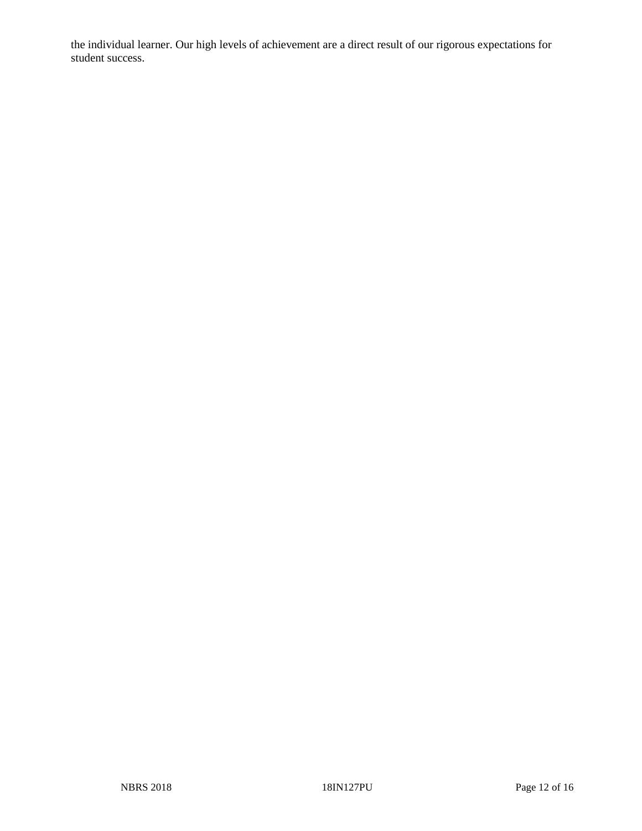the individual learner. Our high levels of achievement are a direct result of our rigorous expectations for student success.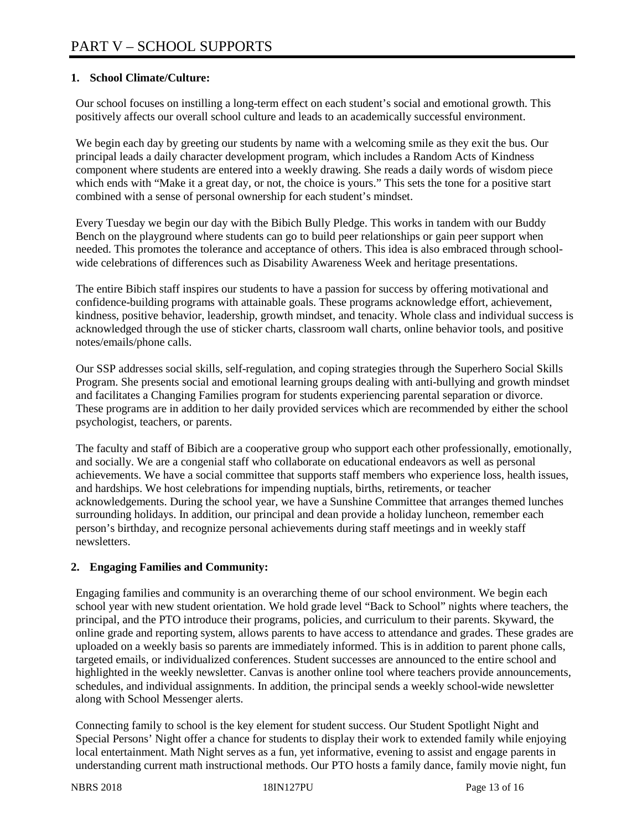## **1. School Climate/Culture:**

Our school focuses on instilling a long-term effect on each student's social and emotional growth. This positively affects our overall school culture and leads to an academically successful environment.

We begin each day by greeting our students by name with a welcoming smile as they exit the bus. Our principal leads a daily character development program, which includes a Random Acts of Kindness component where students are entered into a weekly drawing. She reads a daily words of wisdom piece which ends with "Make it a great day, or not, the choice is yours." This sets the tone for a positive start combined with a sense of personal ownership for each student's mindset.

Every Tuesday we begin our day with the Bibich Bully Pledge. This works in tandem with our Buddy Bench on the playground where students can go to build peer relationships or gain peer support when needed. This promotes the tolerance and acceptance of others. This idea is also embraced through schoolwide celebrations of differences such as Disability Awareness Week and heritage presentations.

The entire Bibich staff inspires our students to have a passion for success by offering motivational and confidence-building programs with attainable goals. These programs acknowledge effort, achievement, kindness, positive behavior, leadership, growth mindset, and tenacity. Whole class and individual success is acknowledged through the use of sticker charts, classroom wall charts, online behavior tools, and positive notes/emails/phone calls.

Our SSP addresses social skills, self-regulation, and coping strategies through the Superhero Social Skills Program. She presents social and emotional learning groups dealing with anti-bullying and growth mindset and facilitates a Changing Families program for students experiencing parental separation or divorce. These programs are in addition to her daily provided services which are recommended by either the school psychologist, teachers, or parents.

The faculty and staff of Bibich are a cooperative group who support each other professionally, emotionally, and socially. We are a congenial staff who collaborate on educational endeavors as well as personal achievements. We have a social committee that supports staff members who experience loss, health issues, and hardships. We host celebrations for impending nuptials, births, retirements, or teacher acknowledgements. During the school year, we have a Sunshine Committee that arranges themed lunches surrounding holidays. In addition, our principal and dean provide a holiday luncheon, remember each person's birthday, and recognize personal achievements during staff meetings and in weekly staff newsletters.

#### **2. Engaging Families and Community:**

Engaging families and community is an overarching theme of our school environment. We begin each school year with new student orientation. We hold grade level "Back to School" nights where teachers, the principal, and the PTO introduce their programs, policies, and curriculum to their parents. Skyward, the online grade and reporting system, allows parents to have access to attendance and grades. These grades are uploaded on a weekly basis so parents are immediately informed. This is in addition to parent phone calls, targeted emails, or individualized conferences. Student successes are announced to the entire school and highlighted in the weekly newsletter. Canvas is another online tool where teachers provide announcements, schedules, and individual assignments. In addition, the principal sends a weekly school-wide newsletter along with School Messenger alerts.

Connecting family to school is the key element for student success. Our Student Spotlight Night and Special Persons' Night offer a chance for students to display their work to extended family while enjoying local entertainment. Math Night serves as a fun, yet informative, evening to assist and engage parents in understanding current math instructional methods. Our PTO hosts a family dance, family movie night, fun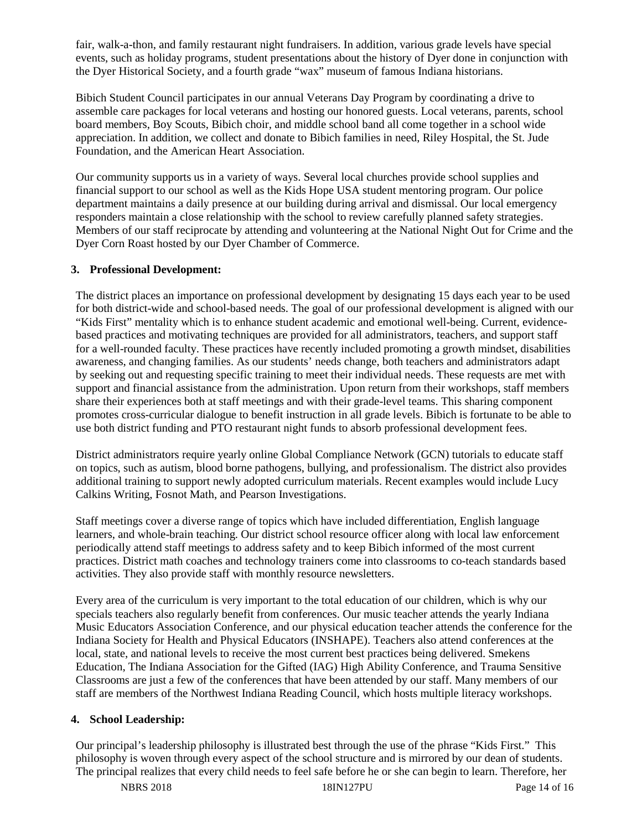fair, walk-a-thon, and family restaurant night fundraisers. In addition, various grade levels have special events, such as holiday programs, student presentations about the history of Dyer done in conjunction with the Dyer Historical Society, and a fourth grade "wax" museum of famous Indiana historians.

Bibich Student Council participates in our annual Veterans Day Program by coordinating a drive to assemble care packages for local veterans and hosting our honored guests. Local veterans, parents, school board members, Boy Scouts, Bibich choir, and middle school band all come together in a school wide appreciation. In addition, we collect and donate to Bibich families in need, Riley Hospital, the St. Jude Foundation, and the American Heart Association.

Our community supports us in a variety of ways. Several local churches provide school supplies and financial support to our school as well as the Kids Hope USA student mentoring program. Our police department maintains a daily presence at our building during arrival and dismissal. Our local emergency responders maintain a close relationship with the school to review carefully planned safety strategies. Members of our staff reciprocate by attending and volunteering at the National Night Out for Crime and the Dyer Corn Roast hosted by our Dyer Chamber of Commerce.

#### **3. Professional Development:**

The district places an importance on professional development by designating 15 days each year to be used for both district-wide and school-based needs. The goal of our professional development is aligned with our "Kids First" mentality which is to enhance student academic and emotional well-being. Current, evidencebased practices and motivating techniques are provided for all administrators, teachers, and support staff for a well-rounded faculty. These practices have recently included promoting a growth mindset, disabilities awareness, and changing families. As our students' needs change, both teachers and administrators adapt by seeking out and requesting specific training to meet their individual needs. These requests are met with support and financial assistance from the administration. Upon return from their workshops, staff members share their experiences both at staff meetings and with their grade-level teams. This sharing component promotes cross-curricular dialogue to benefit instruction in all grade levels. Bibich is fortunate to be able to use both district funding and PTO restaurant night funds to absorb professional development fees.

District administrators require yearly online Global Compliance Network (GCN) tutorials to educate staff on topics, such as autism, blood borne pathogens, bullying, and professionalism. The district also provides additional training to support newly adopted curriculum materials. Recent examples would include Lucy Calkins Writing, Fosnot Math, and Pearson Investigations.

Staff meetings cover a diverse range of topics which have included differentiation, English language learners, and whole-brain teaching. Our district school resource officer along with local law enforcement periodically attend staff meetings to address safety and to keep Bibich informed of the most current practices. District math coaches and technology trainers come into classrooms to co-teach standards based activities. They also provide staff with monthly resource newsletters.

Every area of the curriculum is very important to the total education of our children, which is why our specials teachers also regularly benefit from conferences. Our music teacher attends the yearly Indiana Music Educators Association Conference, and our physical education teacher attends the conference for the Indiana Society for Health and Physical Educators (INSHAPE). Teachers also attend conferences at the local, state, and national levels to receive the most current best practices being delivered. Smekens Education, The Indiana Association for the Gifted (IAG) High Ability Conference, and Trauma Sensitive Classrooms are just a few of the conferences that have been attended by our staff. Many members of our staff are members of the Northwest Indiana Reading Council, which hosts multiple literacy workshops.

## **4. School Leadership:**

Our principal's leadership philosophy is illustrated best through the use of the phrase "Kids First." This philosophy is woven through every aspect of the school structure and is mirrored by our dean of students. The principal realizes that every child needs to feel safe before he or she can begin to learn. Therefore, her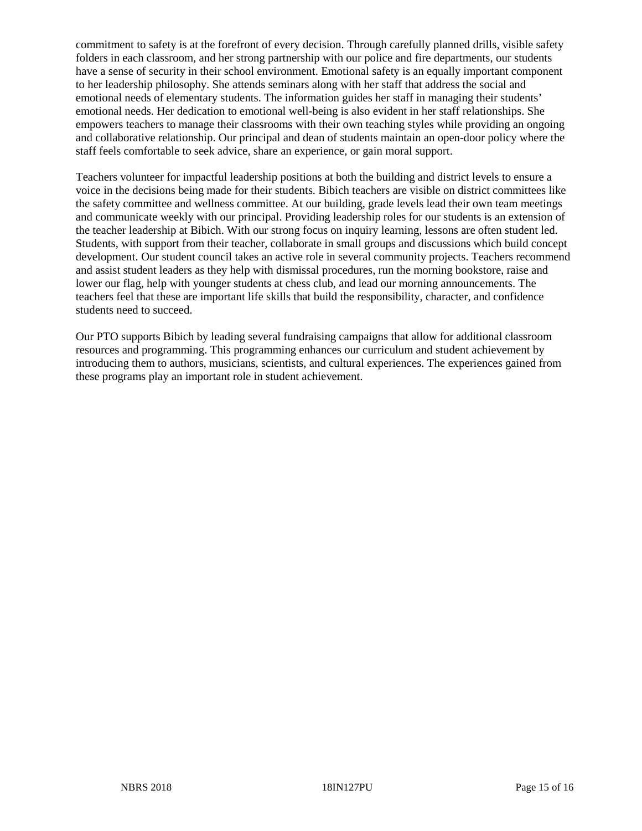commitment to safety is at the forefront of every decision. Through carefully planned drills, visible safety folders in each classroom, and her strong partnership with our police and fire departments, our students have a sense of security in their school environment. Emotional safety is an equally important component to her leadership philosophy. She attends seminars along with her staff that address the social and emotional needs of elementary students. The information guides her staff in managing their students' emotional needs. Her dedication to emotional well-being is also evident in her staff relationships. She empowers teachers to manage their classrooms with their own teaching styles while providing an ongoing and collaborative relationship. Our principal and dean of students maintain an open-door policy where the staff feels comfortable to seek advice, share an experience, or gain moral support.

Teachers volunteer for impactful leadership positions at both the building and district levels to ensure a voice in the decisions being made for their students. Bibich teachers are visible on district committees like the safety committee and wellness committee. At our building, grade levels lead their own team meetings and communicate weekly with our principal. Providing leadership roles for our students is an extension of the teacher leadership at Bibich. With our strong focus on inquiry learning, lessons are often student led. Students, with support from their teacher, collaborate in small groups and discussions which build concept development. Our student council takes an active role in several community projects. Teachers recommend and assist student leaders as they help with dismissal procedures, run the morning bookstore, raise and lower our flag, help with younger students at chess club, and lead our morning announcements. The teachers feel that these are important life skills that build the responsibility, character, and confidence students need to succeed.

Our PTO supports Bibich by leading several fundraising campaigns that allow for additional classroom resources and programming. This programming enhances our curriculum and student achievement by introducing them to authors, musicians, scientists, and cultural experiences. The experiences gained from these programs play an important role in student achievement.